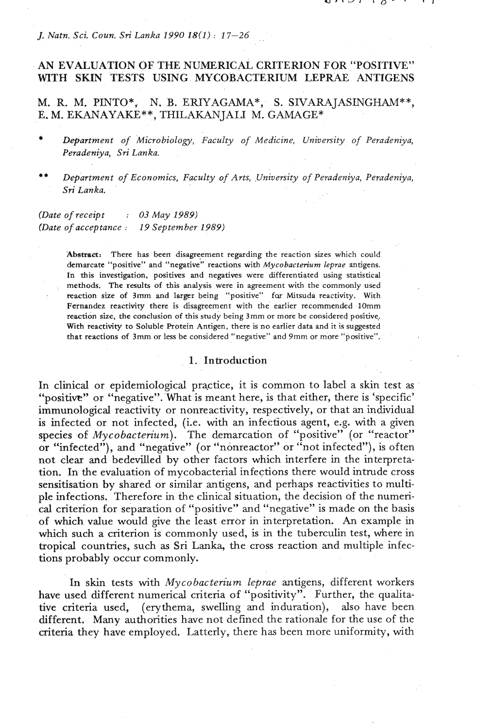*J. Natn. Sci. Coun. Sri Lanka 1990 18(1)* : *17-26* 

# AN EVALUATION OF THE NUMERICAL CRITERION FOR "POSITIVE" WITH SKIN TESTS USING MYCOBACTERIUM LEPRAE ANTIGENS

M. R. M. PINTO\*, N. B. ERIYAGAMA\*, S. SIVARAJASINGHAM\*\*, E. M. EKANAYAKE\*\*, THILAKANJALI M. GAMAGE\*

- *Department of Microbiology, Faculty of Medicine, University of Peradeniya, Peradeniya, Sri Lanka.*
- \*\* *Department of Economics, Faculty of Arts, University of Peradeniya, Peradeniya, Sri Lanka.*

*(Date of receipt* : *03 May 1989) (Date of acceptance* : *19 September 1989)* 

> **'Abstract:** There has been disagreement regarding the reaction sizes which could demarcate "positive" and "negative" reactions with Mycobacterium *leprae* antigens. In this investigation, positives and negatives were differentiated using statistical methods. The **results** of this analysis were in agreement with the commonly used reaction size of 3mm and larger being "positive" far Mitsuda reactivity. With Fernandez reactivity there is disagreement with the earlier recommended lOmm reaction size, the conclusion of this study being 3mm or more be considered positive,. With reactivity to Soluble Protein Antigen, there is no earlier data and it is suggested that reactions of 3mm or less be considered "negative" and 9mm or more "positive".

### 1. Introduction

In clinical or epidemiological practice, it is common to label a skin test as "positive" or "negative". What is meant here, is that either, there is 'specific' immunological reactivity or nonreactivity, respectively, or that an individual is infected or not infected, (i.e. with an infectious agent, e.g. with a given species of Mycobacterium). The demarcation of "positive" (or "reactor" or "infected"), and "negative" (or "nonreactor" or "not infected"), is often not clear and bedevilled by other factors which interfere in the interpretation. In the evaluation of mycobacterial infections there would intrude cross sensitisation by shared or similar antigens, and perhaps reactivities to multiple infections. Therefore in the clinical situation, the decision of the numerical criterion for separation of "positive" and "negative" is made on the basis of which value would give the least error in interpretation. **An** example in which such a criterion is commonly used, is in the tuberculin test, where in tropical countries, such as Sri Lanka, the cross reaction and multiple infections probably occur commonly.

In skin tests with Mycobacterium leprae antigens, different workers have used different numerical criteria of "positivity". Further, the qualitative criteria used, (erythema, swelling and induration), also have been different. Many authorities have not defined the rationale for the use of the criteria they have employed. Latterly, there has been more uniformity, with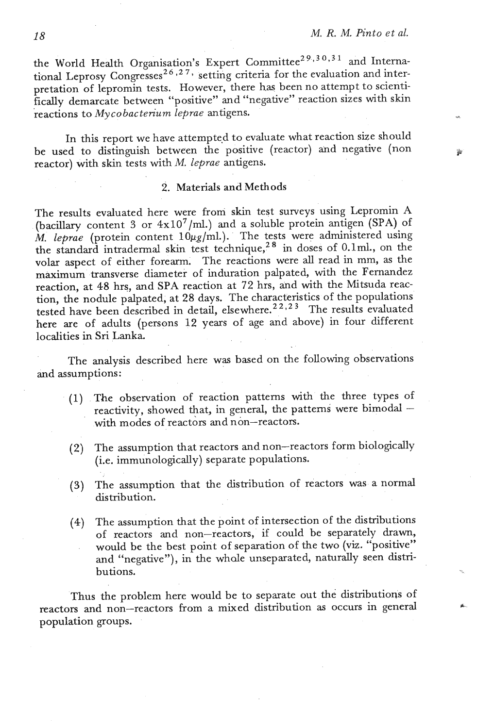the World Health Organisation's Expert Committee<sup>29,30,31</sup> and International Leprosy Congresses<sup>26,27,</sup> setting criteria for the evaluation and interpretation of lepromin tests. However, there has been no attempt to scientifically demarcate between "positive" and "negative" reaction sizes with skin reactions to *Mycobacterium leprae* antigens. -

In this report we have attempted to evaluate what reaction size should be used to distinguish between the positive (reactor) and negative (non reactor) with skin tests with M. *leprae* antigens.

### 2. Materials **and** Methods

The results evaluated here were from skin test surveys using Lepromin A (bacillary content **3** or 4xl0'/ml.) and a soluble protein antigen (SPA) of M. leprae (protein content 10µg/ml.). The tests were administered using the standard intradermal skin test technique,<sup>28</sup> in doses of 0.1ml., on the volar aspect of either forearm. The reactions were all read in mm, as the maximum transverse diameter of induration palpated, with the Fernandez reaction, at 48 hrs, and SPA reaction at 72 hrs, and with the Mitsuda reaction, the nodule palpated, at 28 days. The characteristics of the populations tested have been described in detail, elsewhere.<sup>22,23</sup> The results evaluated here are of adults (persons 12 years of age and above) in four different localities in Sri Lanka.

The analysis described here was based on the following observations and assumptions:

- (1) .The observation of reaction patterns with the three types of reactivity, showed that, in general, the patterns were bimodal  $-$ **.with** modes of reactors and non-reactors.
- (2) The assumption that reactors and non-reactors form biologically (i.e. immunologically) separate populations.
- **(3)** The assumption that the distribution of reactors was a normal distribution.
- (4) The assumption that the point of intersection of the distributions of reactors and non-reactors,' if could be separately drawn, would be the best point of separation of the two (viz. "positive" and "negative"), in the whale unseparated, naturally seen distriand negative f, in the where diseparated, hadrally seen distributions.

Thus the problem here would be to separate out the distributions of reactors and non-reactors from a mixed distribution as occurs in general population groups.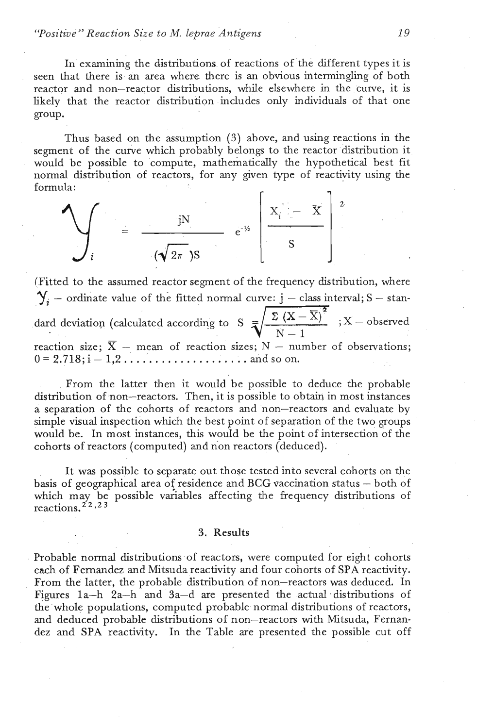### *'Yositive* " *Reaction Size to M. leprae Antigens* <sup>19</sup>

In examining the distributions of reactions of the different types it is seen that there is an area where there is an obvious intermingling of both reactor and non-reactor distributions, while elsewhere in the curve, it is likely that the reactor distribution includes only individuals of that one group.

Thus based on the assumption **(3)** above, and using reactions in the segment of the curve which probably belongs to the reactor distribution it would be possible to compute, mathematically the hypothetical best fit normal distribution of reactors, for any given type of reactivity using the formula:

$$
\mathcal{L}_i = \frac{iN}{(\sqrt{2\pi})S} e^{-\frac{i}{2}\left[\frac{X_i - \overline{X}}{S}\right]^2}
$$

(Fitted to the assumed reactor segment of the frequency distribution, where  $\mathbf{Y}_i$  – ordinate value of the fitted normal curve:  $j$  – class interval; S – standard deviation (calculated according to S  $\frac{\sum (X - \overline{X})^2}{N-1}$ ; X – observed reaction size; -, mean of reaction sizes; N - number of observations; . . 0= 2.718;i- l,2.. . . . . . . . . . . . . .. . . ..Adsoon. . ,

From the latter then it would be possible to deduce the probable distribution of non-reactors. Then, it is possible to obtain in most instances a separation of the cohorts of reactors and non-reactors and evaluate by simple visual inspection which the best point of separation of the two groups would be. In most instances, this would be the point of intersection of the cohorts of reactors (computed) and non reactors (deduced).

It was possible to separate out those tested into several cohorts on the basis of geographical area of residence and BCG vaccination status  $-$  both of which may be possible variables affecting the frequency distributions of reactions.  $2^2$ , 23

#### **3,** Results

Probable normal distributions of reactors, were computed for eight cohorts each of Fernandez and Mitsuda reactivity and four cohorts of SPA reactivity. From the latter, the probable distribution of non-reactors was deduced. In Figures  $1a-h$   $2a-h$  and  $3a-d$  are presented the actual distributions of the'whole populations, computed probable normal distributions of reactors, and deduced probable distributions of non-reactors with Mitsuda, Fernandez and SPA reactivity. In the Table are presented the possible cut off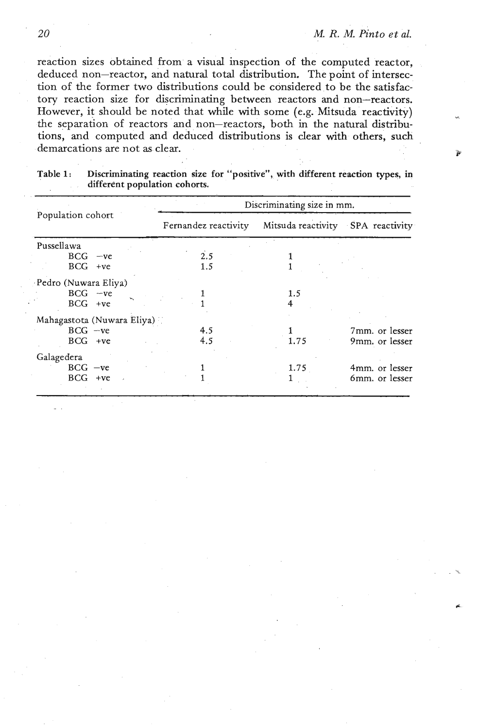reaction sizes obtained from a visual inspection of the computed reactor, deduced non-reactor, and natural total distribution. The point of intersection of the former two distributions could be considered to be the satisfactory reaction size for discriminating between reactors and non-reactors. However, it should be noted that while with some (e.g. Mitsuda reactivity) the separation of reactors and non-reactors, both in the natural distributions, and computed **and** deduced distributions is clear **with** others, such demarcations are not as clear.

|                            |                      | Discriminating size in mm.        |                |  |  |
|----------------------------|----------------------|-----------------------------------|----------------|--|--|
| Population cohort          | Fernandez reactivity | Mitsuda reactivity SPA reactivity |                |  |  |
| Pussellawa                 |                      |                                   |                |  |  |
| $BCG - ve$                 | 2.5                  |                                   |                |  |  |
| $BCG +ve$                  | 1.5                  |                                   |                |  |  |
| Pedro (Nuwara Eliya)       |                      |                                   |                |  |  |
| $BCG -ve$                  |                      | 1.5                               |                |  |  |
| $BCG +ve$                  |                      |                                   |                |  |  |
| Mahagastota (Nuwara Eliya) |                      |                                   |                |  |  |
| $BCG -ve$                  | 4.5                  |                                   | 7mm. or lesser |  |  |
| $BCG +ve$                  | 4.5                  | 1.75                              | 9mm. or lesser |  |  |
| Galagedera                 |                      |                                   |                |  |  |
| $BCG -ve$                  |                      | 1.75                              | 4mm. or lesser |  |  |
| $BCG +ve$                  |                      |                                   | 6mm. or lesser |  |  |
|                            |                      |                                   |                |  |  |

Table 1: Discriminating reaction size for "positive", with different reaction types, in different population cohorts.

20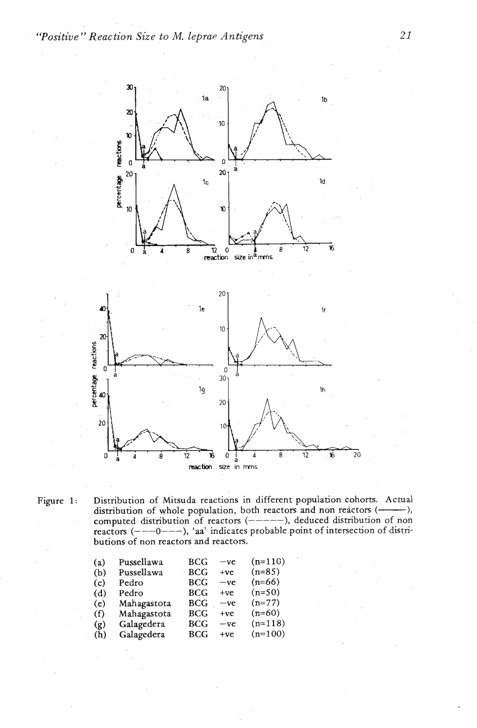

Figure 1: Distribution of Mitsuda reactions in different population cohorts. Actual distribution of whole population, both reactors and non reactors (-------), computed distribution of reactors (-----), deduced distribution of non reactors  $(--0--)$ , 'aa' indicates probable point of intersection of distributions of non reactors and reactors.

| Pussellawa  | <b>BCG</b>   | $-ve$ | $(n=110)$ |
|-------------|--------------|-------|-----------|
| Pussellawa  | · BCG        | $+ve$ | $(n=85)$  |
| Pedro       | BCG          | $-ve$ | $(n=66)$  |
| Pedro       | <b>BCG</b>   | $+ve$ | $(n=50)$  |
| Mahagastota | <b>BCG</b>   | $-ve$ | $(n=77)$  |
| Mahagastota | <b>BCG</b>   | $+ve$ | $(n=60)$  |
| Galagedera  | $_{\rm BCG}$ | $-ve$ | $(n=118)$ |
|             | BCG          | $+ve$ | $(n=100)$ |
|             | Galagedera   |       |           |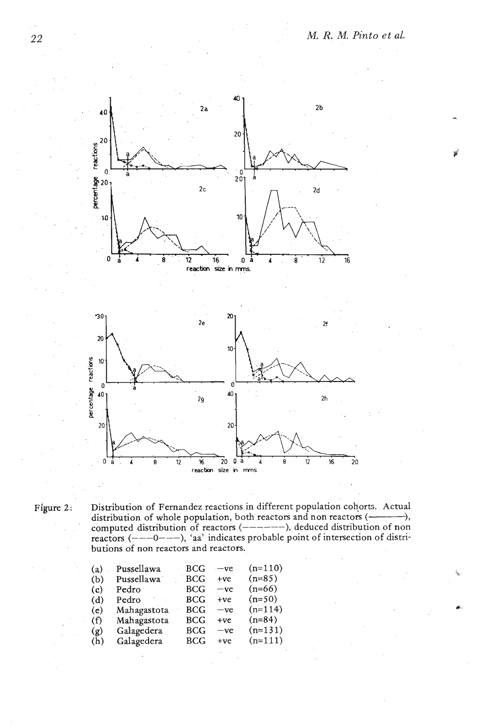

Figure 2: Distribution of Fernandez reactions in different population cohorts. Actual distribution of whole population, both reactors and non reactors (-------------), computed distribution of reactors (-------), deduced distribution of non reactors  $\left(---0---\right)$ , 'aa' indicates probable point of intersection of distributions of non reactors and reactors.

| (a) | Pussellawa  | <b>BCG</b> | $-ve$ | $(n=110)$ |
|-----|-------------|------------|-------|-----------|
| (b) | Pussellawa  | <b>BCG</b> | $+ve$ | $(n=85)$  |
| (c) | Pedro       | BCG        | $-ve$ | $(n=66)$  |
| (d) | Pedro       | <b>BCG</b> | $+ve$ | $(n=50)$  |
| (e) | Mahagastota | <b>BCG</b> | $-ve$ | $(n=114)$ |
| (f) | Mahagastota | <b>BCG</b> | $+ve$ | $(n=84)$  |
| (g) | Galagedera  | BCG        | $-ve$ | $(n=131)$ |
| (h) | Galagedera  | BCG        | $+ve$ | $(n=111)$ |
|     |             |            |       |           |

22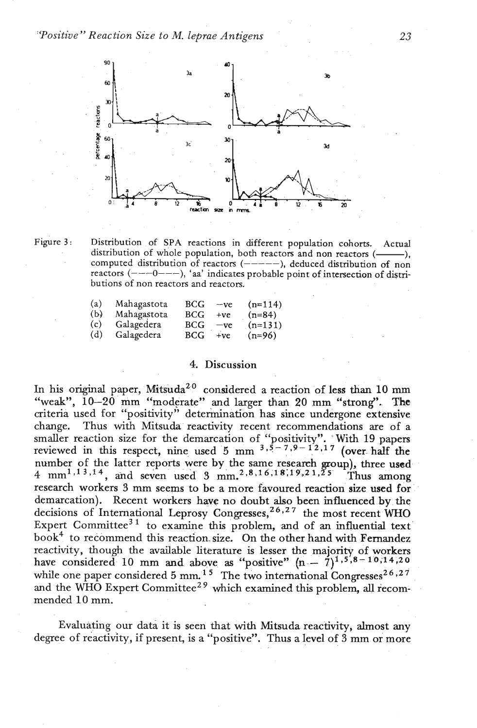

Figure **3:** Distribution of SPA reactions in different population cohorts. Actual distribution of whole population, both reactors and non reactors (------), computed distribution of reactors  $(----)$ , deduced distribution of non reactors (----0---), 'aa' indicates probable point of intersection of distributions of non reactors and reactors.

| (a) | Mahagastota | <b>BCG</b> | $-ve$ | $(n=114)$ |  |
|-----|-------------|------------|-------|-----------|--|
| (b) | Mahagastota | <b>BCG</b> | $+ve$ | $(n=84)$  |  |
| (c) | Galagedera  | <b>BCG</b> | $-ve$ | $(n=131)$ |  |
| (d) | Galagedera  | BCG        | $+ve$ | $(n=96)$  |  |

## 4. Discussion

In his original paper, Mitsuda<sup>20</sup> considered a reaction of less than 10 mm "weak", **10-20** mm "moderate" and larger **than** 20 mm "strong". **The**  criteria used for "positivity" deterinination **has** since undergone extensive change. Thus with Mitsuda reactivity recent recommendations are of a smaller reaction size for the demarcation of "positivity". With 19 papers reviewed in this respect, nine used  $5 \text{ mm}^{-3.5 - 7.9 - 12.17}$  (over half the number of the latter reports were by the same research group), three used 4 mm<sup>1,13,14</sup>, and seven used 3 mm<sup>2</sup>,8,16,18,19,21,25 Thus among research workers 3 mm seems to be a more favoured reaction size used for demarcation). Recent workers have no doubt also been influenced by the decisions of International Leprosy Congresses,<sup> $26,27$ </sup> the most recent WHO Expert Committee<sup>31</sup> to examine this problem, and of an influential text book<sup>4</sup> to recommend this reaction size. On the other hand with Fernandez reactivity, though the available Literature is lesser the majority of workers have considered 10 mm and above as "positive"  $(n - 7)^{1,5,8-10,14,20}$ while one paper considered 5 mm.<sup>15</sup> The two international Congresses<sup>26,27</sup> and the WHO Expert Committee<sup>29</sup> which examined this problem, all recommended 10 mm.

Evaluating our data. it is seen that with Mitsuda-reactivity, almost any degree of reactivity, if present, is a "positive". Thus a level of  $\frac{3}{2}$  mm or more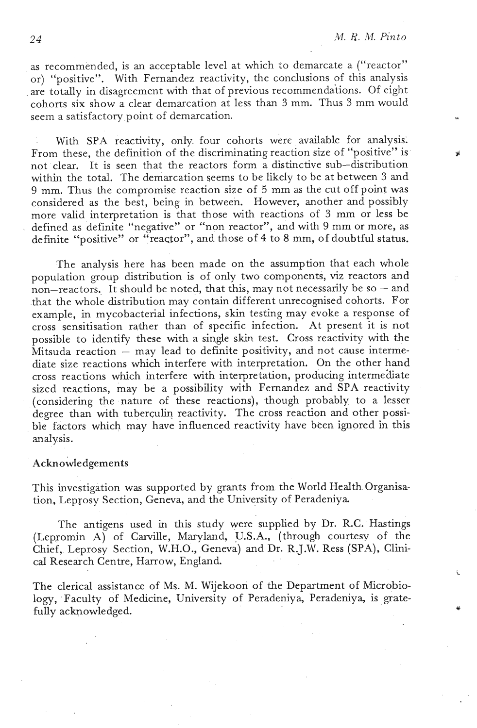*24 M. K. M.* **Pinto** 

as recommended, is an acceptable level at which to demarcate a ("reactor" or) "positive". With Fernandez reactivity, the conclusions of this analysis . are totally in disagreement with that of previous recommenda'tions. Of eight cohorts six show a clear demarcation at less than **3** mm. Thus **3** mm would seem a satisfactory point of demarcation.

With SPA reactivity, only four cohorts were available for analysis. From these, the definition of the discriminating reaction size of "positive" is not clear. It is seen that the reactors form a distinctive sub-distribution within the total. The demarcation seems to be likely to be at between **3** and 9 mm. Thus the compromise reaction size of *5* mm **as** the cut off point was considered **as** the best, being in between. However, another and possibly more valid interpretation is that' those with reactions of **3** mm or less be defined as definite "negative" or "non reactor", and with 9 mm or more, as definite "positive" or "reactor", and those of 4 to 8 mm, of doubtful status.

The analysis here has been made on the assumption that each whole population group distribution is of only two components, **viz** reactors and non-reactors. It should be noted, that this, may not necessarily be so - and that the whole distribution may contain different unrecognised cohorts. For example, in mycobacterial infections, skin testing may evoke a response of cross sensitisation rather than of specific infection. At present it is not possible to identify these with a single skin test. Cross reactivity with the  $M$ itsuda reaction  $-$  may lead to definite positivity, and not cause intermediate size reactions which interfere with interpretation. On the other hand cross reactions which interfere with interpretation, producing intermediate sized reactions, may be a possibility with Femandez and SPA reactivity (considering the nature of these reactions), though probably to a lesser degree than with tuberculin reactivity. The cross reaction and other possible factors which may have influenced reactivity have been ignored in this analysis.

# Acknowledgements

This investigation was supported by grants from the World Health Organisation, Leprosy Section, Geneva, and the University of Peradeniya

The antigens used in this study were supplied by Dr. R.C. Hastings (Lepromin A) of Carville, Maryland, U.S.A., (through courtesy of the Chief, Leprosy Section, W.H.O., Geneva) and Dr. R.J.W. Ress (SPA), Clinical Research Centre, Harrow, England.

The clerical assistance of Ms. M. Wijekoon of the Department of Microbiology, Faculty of Medicine, University of Peradeniya, Peradeniya, is gratefully acknowledged.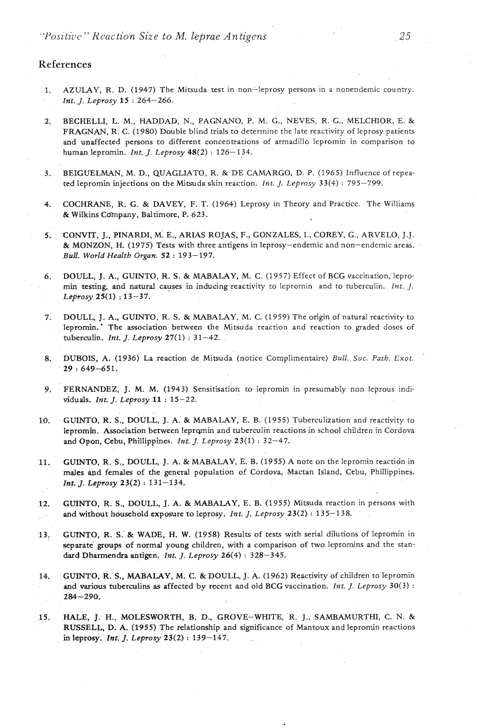*"Positizlc>" Kcaction Size to M. leprae Antigens* 

### **References**

- **1. AZULAY,** R. D. (1947) The Mitsuda test in non-leprosy persons in a nonendemic coun'ny. *Int. J. Leprosy* 15 : 264-266.
- **2.** BECHELLI, L. M., HADDAD, N., PAGNANO, P. M. G., NEVES, R. G.. MELCHIOR, E. & FRAGNAN, R. C. (1980) Double blind trials to determine the late reactivity of leprosy patients and unaffected persons to different concentrations of armadillo lepromin in comparison to human lepromin. *Int.* J. *Leprosy* 48(2) : 126-134.
- 3. BEIGUELMAN, M. D., QUAGLIATO, R. & DE CAMARGO, D. P. (1965) Influence of repeated lepromin injections on the Mitsuda skin reaction. *Int.* J. *Leprosy* 33(4) : 795-799.
- **4.** COCHRANE, R. G. & DAVEY, F. T. (1964) Leprosy in Theory and Practice. The Williams & Wilkins Company, Baltimore, P. 623.
- 5. CONVIT, J.. PINARDI, M: E., ARIAS ROJAS, F., GONZALES, I., COREY, G., ARVELO, J.J. & MONZON, H. (1975) Tests with three antigens in leprosy-endemic and non-endemic areas. *Bull. World Health Organ.* <sup>52</sup>: 193-197.
- 6. DOULL, J. A., GUINTO, R. S. & MABALAY, M. C. (1957) Effect of BCG vaccination, lepromin testing, and natural causes in inducing reactivity to lepromin and to tuberculin. Int. *J. Leprosy* 25(1) ; 13-37.
- 7. DOULL, J. A., GUINTO, R. S. & MABALAY, M. C. (1959) The origin of natural reactivity to lepromin.' The association between the Mitsuda reaction and reaction to graded doses of tuberculin. *Int.* J. *Leprosy* 27(1) : 31-42. .
- 8. DUBOIS, A. (1936) La reaction de Mitsuda (notice Complimentaire) Bull. *Soc. Path, Exot.* <sup>29</sup>: 649-651.
- *9.* FERNANDEZ, J. M. M. (1943) Sensitisation to lepromin in presumably non leprous individuals. *Int.* J. *Leprosy 11* : 15-22.
- 10. **GUINTO, R. S., DOULL, J. A. & MABALAY, E. B.** (1955) Tuberculization and reactivity to lepromin. Association between leprqmin and tuberculin reactions in school children in Cordova and Opon, Cebu, Phillippines. *Int.* J. *Leprosy* 23(1) : 32-47.
- 11. GUINTO, R. S., DOULL, J. A. & MABALAY, E. B. (1955) A note on the lepromin reactidn in males and females of the general population of Cordova, Mactan Island, Cebu, Phillippines. Int. *J. Leprosy* **23(2)** : 131-134.
- 12. GUINTO, R. S., DOULL, J. A. & MABALAY, E. B. (1955) Mitsuda reaction in persons with and without household exposure to leprosy. Int. **J.** *Leprosy* 23(2) : 135-138.  $\mathbb{Z}^{n-1}$
- 13, GUMTO, R. **S.'** & **WADE,** H. W. (1958) Results of tests with serial dilutions of lepromin in separate' groups 'of normal **young** children, with a comparison of two lepromins and the standard Dharmendra **antigen.** *Int.* J. *Leprosy.26(4)* : 328-345.
- 14. GUINTO, R. **S.,** MABALAY, M. C. & DOULL, J. A. (1962) Reactivity of children to lepromin and various tuberculins as affected by recent and old BCG vaccination. *Int. J. Leprosy* 30(3) : 284-290.
- 15. HALE, J. H., MOLESWORTH, B. D., GROVE-WHITE, R. **I.,** SAMBAMURTHI, C. N. & RUSSELL, **D.** A. (1955) The relationship and significance of Mantoux and lepromin reactions in leprosy. *Int. J. Leprosy* 23(2) : 139-147.